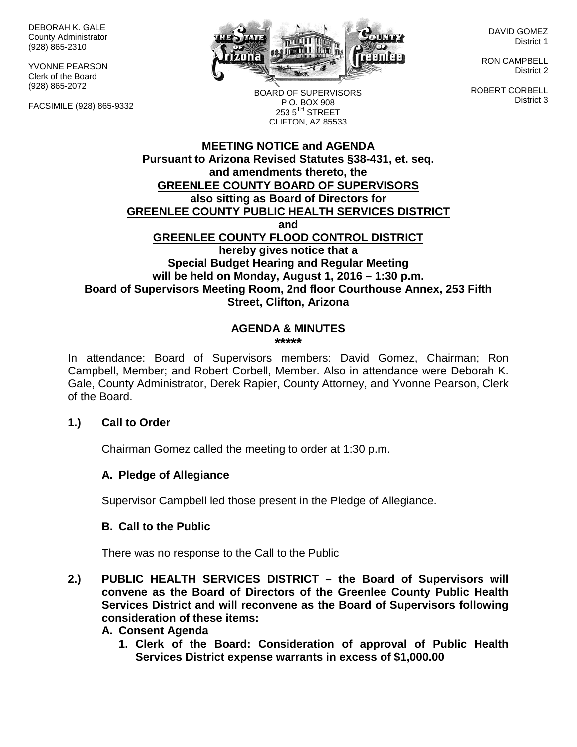DEBORAH K. GALE County Administrator (928) 865-2310

YVONNE PEARSON Clerk of the Board (928) 865-2072

FACSIMILE (928) 865-9332



DAVID GOMEZ District 1

RON CAMPBELL District 2

ROBERT CORBELL District 3

BOARD OF SUPERVISORS P.O. BOX 908  $253.5$ <sup>TH</sup> STREET CLIFTON, AZ 85533

#### **MEETING NOTICE and AGENDA Pursuant to Arizona Revised Statutes §38-431, et. seq. and amendments thereto, the GREENLEE COUNTY BOARD OF SUPERVISORS also sitting as Board of Directors for GREENLEE COUNTY PUBLIC HEALTH SERVICES DISTRICT and GREENLEE COUNTY FLOOD CONTROL DISTRICT hereby gives notice that a Special Budget Hearing and Regular Meeting will be held on Monday, August 1, 2016 – 1:30 p.m. Board of Supervisors Meeting Room, 2nd floor Courthouse Annex, 253 Fifth Street, Clifton, Arizona**

#### **AGENDA & MINUTES \*\*\*\*\***

In attendance: Board of Supervisors members: David Gomez, Chairman; Ron Campbell, Member; and Robert Corbell, Member. Also in attendance were Deborah K. Gale, County Administrator, Derek Rapier, County Attorney, and Yvonne Pearson, Clerk of the Board.

#### **1.) Call to Order**

Chairman Gomez called the meeting to order at 1:30 p.m.

#### **A. Pledge of Allegiance**

Supervisor Campbell led those present in the Pledge of Allegiance.

#### **B. Call to the Public**

There was no response to the Call to the Public

**2.) PUBLIC HEALTH SERVICES DISTRICT – the Board of Supervisors will convene as the Board of Directors of the Greenlee County Public Health Services District and will reconvene as the Board of Supervisors following consideration of these items:**

#### **A. Consent Agenda**

**1. Clerk of the Board: Consideration of approval of Public Health Services District expense warrants in excess of \$1,000.00**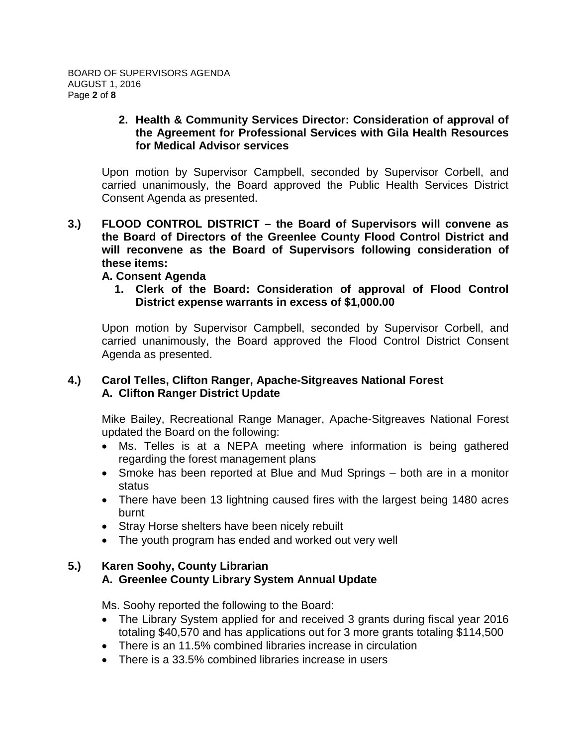#### **2. Health & Community Services Director: Consideration of approval of the Agreement for Professional Services with Gila Health Resources for Medical Advisor services**

Upon motion by Supervisor Campbell, seconded by Supervisor Corbell, and carried unanimously, the Board approved the Public Health Services District Consent Agenda as presented.

**3.) FLOOD CONTROL DISTRICT – the Board of Supervisors will convene as the Board of Directors of the Greenlee County Flood Control District and will reconvene as the Board of Supervisors following consideration of these items:**

#### **A. Consent Agenda**

**1. Clerk of the Board: Consideration of approval of Flood Control District expense warrants in excess of \$1,000.00**

Upon motion by Supervisor Campbell, seconded by Supervisor Corbell, and carried unanimously, the Board approved the Flood Control District Consent Agenda as presented.

#### **4.) Carol Telles, Clifton Ranger, Apache-Sitgreaves National Forest A. Clifton Ranger District Update**

Mike Bailey, Recreational Range Manager, Apache-Sitgreaves National Forest updated the Board on the following:

- Ms. Telles is at a NEPA meeting where information is being gathered regarding the forest management plans
- Smoke has been reported at Blue and Mud Springs both are in a monitor status
- There have been 13 lightning caused fires with the largest being 1480 acres burnt
- Stray Horse shelters have been nicely rebuilt
- The youth program has ended and worked out very well

#### **5.) Karen Soohy, County Librarian A. Greenlee County Library System Annual Update**

Ms. Soohy reported the following to the Board:

- The Library System applied for and received 3 grants during fiscal year 2016 totaling \$40,570 and has applications out for 3 more grants totaling \$114,500
- There is an 11.5% combined libraries increase in circulation
- There is a 33.5% combined libraries increase in users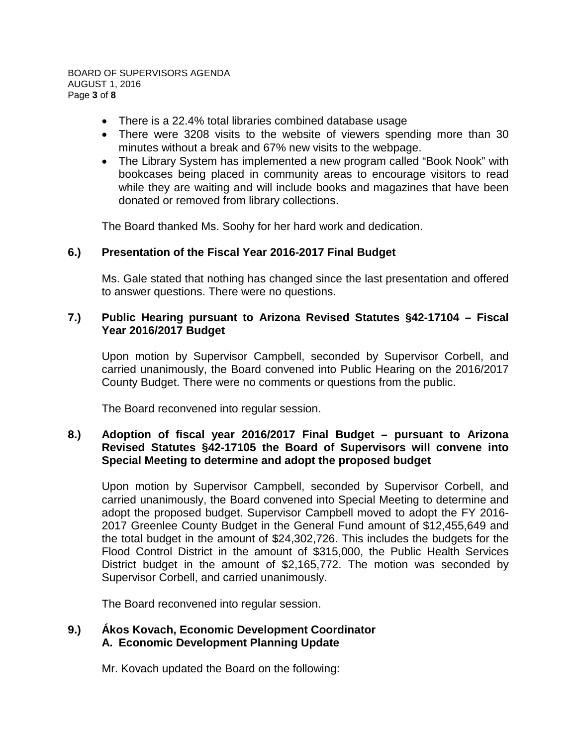BOARD OF SUPERVISORS AGENDA AUGUST 1, 2016 Page **3** of **8**

- There is a 22.4% total libraries combined database usage
- There were 3208 visits to the website of viewers spending more than 30 minutes without a break and 67% new visits to the webpage.
- The Library System has implemented a new program called "Book Nook" with bookcases being placed in community areas to encourage visitors to read while they are waiting and will include books and magazines that have been donated or removed from library collections.

The Board thanked Ms. Soohy for her hard work and dedication.

#### **6.) Presentation of the Fiscal Year 2016-2017 Final Budget**

Ms. Gale stated that nothing has changed since the last presentation and offered to answer questions. There were no questions.

#### **7.) Public Hearing pursuant to Arizona Revised Statutes §42-17104 – Fiscal Year 2016/2017 Budget**

Upon motion by Supervisor Campbell, seconded by Supervisor Corbell, and carried unanimously, the Board convened into Public Hearing on the 2016/2017 County Budget. There were no comments or questions from the public.

The Board reconvened into regular session.

### **8.) Adoption of fiscal year 2016/2017 Final Budget – pursuant to Arizona Revised Statutes §42-17105 the Board of Supervisors will convene into Special Meeting to determine and adopt the proposed budget**

Upon motion by Supervisor Campbell, seconded by Supervisor Corbell, and carried unanimously, the Board convened into Special Meeting to determine and adopt the proposed budget. Supervisor Campbell moved to adopt the FY 2016- 2017 Greenlee County Budget in the General Fund amount of \$12,455,649 and the total budget in the amount of \$24,302,726. This includes the budgets for the Flood Control District in the amount of \$315,000, the Public Health Services District budget in the amount of \$2,165,772. The motion was seconded by Supervisor Corbell, and carried unanimously.

The Board reconvened into regular session.

#### **9.) Ákos Kovach, Economic Development Coordinator A. Economic Development Planning Update**

Mr. Kovach updated the Board on the following: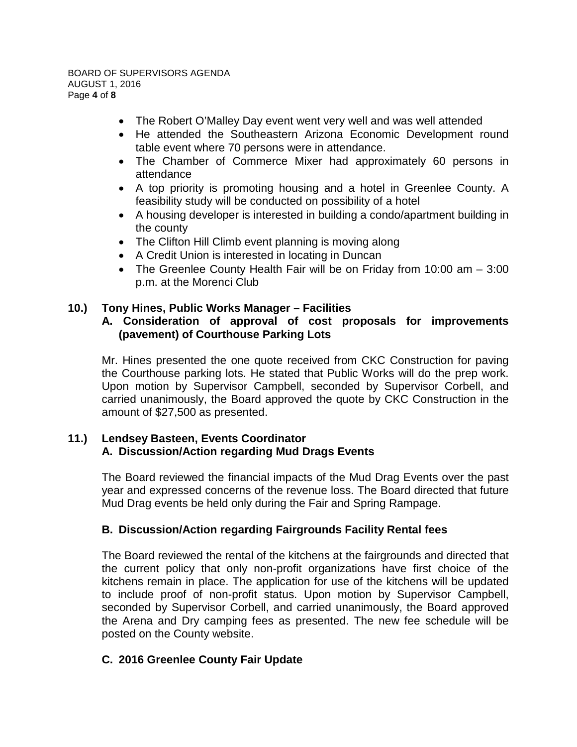- The Robert O'Malley Day event went very well and was well attended
- He attended the Southeastern Arizona Economic Development round table event where 70 persons were in attendance.
- The Chamber of Commerce Mixer had approximately 60 persons in attendance
- A top priority is promoting housing and a hotel in Greenlee County. A feasibility study will be conducted on possibility of a hotel
- A housing developer is interested in building a condo/apartment building in the county
- The Clifton Hill Climb event planning is moving along
- A Credit Union is interested in locating in Duncan
- The Greenlee County Health Fair will be on Friday from 10:00 am 3:00 p.m. at the Morenci Club

# **10.) Tony Hines, Public Works Manager – Facilities**

#### **A. Consideration of approval of cost proposals for improvements (pavement) of Courthouse Parking Lots**

Mr. Hines presented the one quote received from CKC Construction for paving the Courthouse parking lots. He stated that Public Works will do the prep work. Upon motion by Supervisor Campbell, seconded by Supervisor Corbell, and carried unanimously, the Board approved the quote by CKC Construction in the amount of \$27,500 as presented.

### **11.) Lendsey Basteen, Events Coordinator A. Discussion/Action regarding Mud Drags Events**

The Board reviewed the financial impacts of the Mud Drag Events over the past year and expressed concerns of the revenue loss. The Board directed that future Mud Drag events be held only during the Fair and Spring Rampage.

#### **B. Discussion/Action regarding Fairgrounds Facility Rental fees**

The Board reviewed the rental of the kitchens at the fairgrounds and directed that the current policy that only non-profit organizations have first choice of the kitchens remain in place. The application for use of the kitchens will be updated to include proof of non-profit status. Upon motion by Supervisor Campbell, seconded by Supervisor Corbell, and carried unanimously, the Board approved the Arena and Dry camping fees as presented. The new fee schedule will be posted on the County website.

# **C. 2016 Greenlee County Fair Update**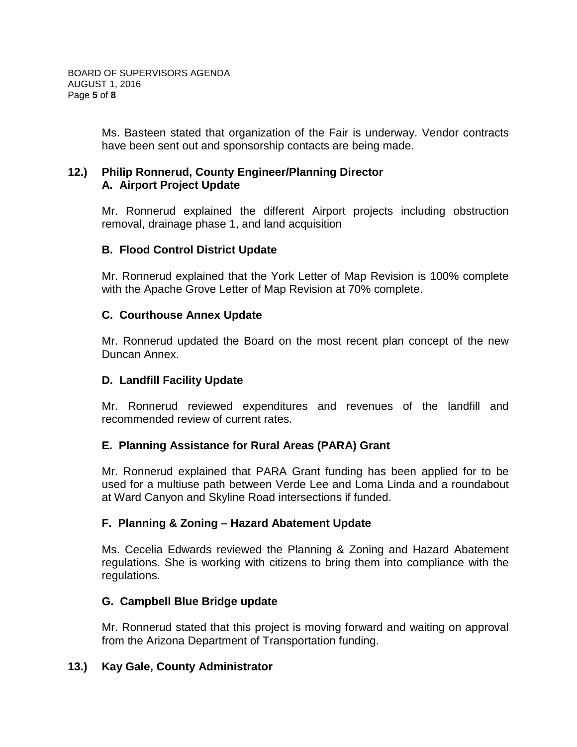Ms. Basteen stated that organization of the Fair is underway. Vendor contracts have been sent out and sponsorship contacts are being made.

#### **12.) Philip Ronnerud, County Engineer/Planning Director A. Airport Project Update**

Mr. Ronnerud explained the different Airport projects including obstruction removal, drainage phase 1, and land acquisition

### **B. Flood Control District Update**

Mr. Ronnerud explained that the York Letter of Map Revision is 100% complete with the Apache Grove Letter of Map Revision at 70% complete.

### **C. Courthouse Annex Update**

Mr. Ronnerud updated the Board on the most recent plan concept of the new Duncan Annex.

#### **D. Landfill Facility Update**

Mr. Ronnerud reviewed expenditures and revenues of the landfill and recommended review of current rates.

# **E. Planning Assistance for Rural Areas (PARA) Grant**

Mr. Ronnerud explained that PARA Grant funding has been applied for to be used for a multiuse path between Verde Lee and Loma Linda and a roundabout at Ward Canyon and Skyline Road intersections if funded.

# **F. Planning & Zoning – Hazard Abatement Update**

Ms. Cecelia Edwards reviewed the Planning & Zoning and Hazard Abatement regulations. She is working with citizens to bring them into compliance with the regulations.

#### **G. Campbell Blue Bridge update**

Mr. Ronnerud stated that this project is moving forward and waiting on approval from the Arizona Department of Transportation funding.

#### **13.) Kay Gale, County Administrator**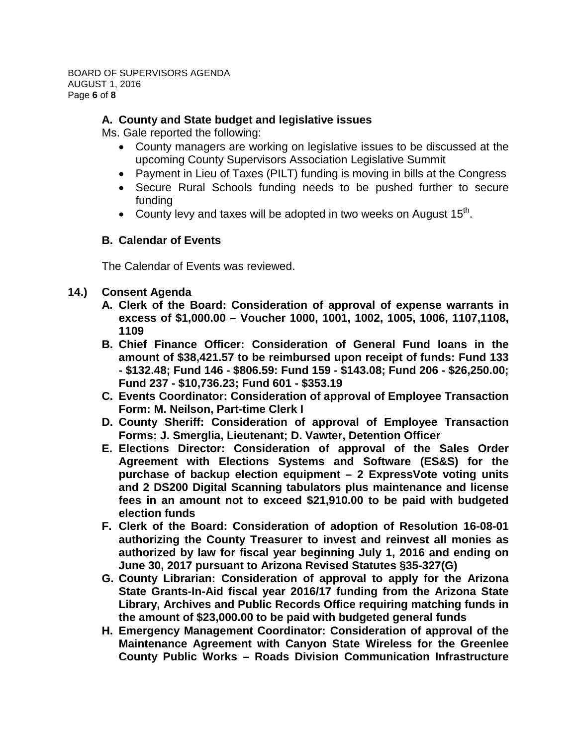# **A. County and State budget and legislative issues**

Ms. Gale reported the following:

- County managers are working on legislative issues to be discussed at the upcoming County Supervisors Association Legislative Summit
- Payment in Lieu of Taxes (PILT) funding is moving in bills at the Congress
- Secure Rural Schools funding needs to be pushed further to secure funding
- County levy and taxes will be adopted in two weeks on August  $15<sup>th</sup>$ .

#### **B. Calendar of Events**

The Calendar of Events was reviewed.

#### **14.) Consent Agenda**

- **A. Clerk of the Board: Consideration of approval of expense warrants in excess of \$1,000.00 – Voucher 1000, 1001, 1002, 1005, 1006, 1107,1108, 1109**
- **B. Chief Finance Officer: Consideration of General Fund loans in the amount of \$38,421.57 to be reimbursed upon receipt of funds: Fund 133 - \$132.48; Fund 146 - \$806.59: Fund 159 - \$143.08; Fund 206 - \$26,250.00; Fund 237 - \$10,736.23; Fund 601 - \$353.19**
- **C. Events Coordinator: Consideration of approval of Employee Transaction Form: M. Neilson, Part-time Clerk I**
- **D. County Sheriff: Consideration of approval of Employee Transaction Forms: J. Smerglia, Lieutenant; D. Vawter, Detention Officer**
- **E. Elections Director: Consideration of approval of the Sales Order Agreement with Elections Systems and Software (ES&S) for the purchase of backup election equipment – 2 ExpressVote voting units and 2 DS200 Digital Scanning tabulators plus maintenance and license fees in an amount not to exceed \$21,910.00 to be paid with budgeted election funds**
- **F. Clerk of the Board: Consideration of adoption of Resolution 16-08-01 authorizing the County Treasurer to invest and reinvest all monies as authorized by law for fiscal year beginning July 1, 2016 and ending on June 30, 2017 pursuant to Arizona Revised Statutes §35-327(G)**
- **G. County Librarian: Consideration of approval to apply for the Arizona State Grants-In-Aid fiscal year 2016/17 funding from the Arizona State Library, Archives and Public Records Office requiring matching funds in the amount of \$23,000.00 to be paid with budgeted general funds**
- **H. Emergency Management Coordinator: Consideration of approval of the Maintenance Agreement with Canyon State Wireless for the Greenlee County Public Works – Roads Division Communication Infrastructure**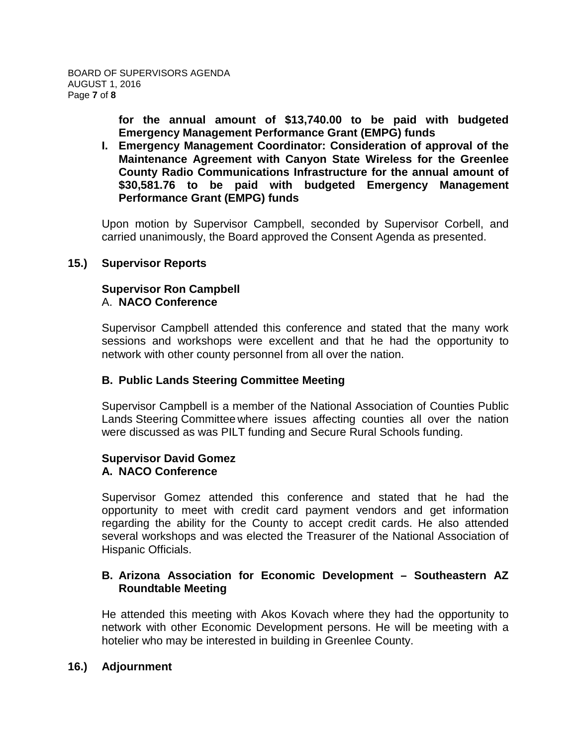**for the annual amount of \$13,740.00 to be paid with budgeted Emergency Management Performance Grant (EMPG) funds**

**I. Emergency Management Coordinator: Consideration of approval of the Maintenance Agreement with Canyon State Wireless for the Greenlee County Radio Communications Infrastructure for the annual amount of \$30,581.76 to be paid with budgeted Emergency Management Performance Grant (EMPG) funds**

Upon motion by Supervisor Campbell, seconded by Supervisor Corbell, and carried unanimously, the Board approved the Consent Agenda as presented.

#### **15.) Supervisor Reports**

#### **Supervisor Ron Campbell** A. **NACO Conference**

Supervisor Campbell attended this conference and stated that the many work sessions and workshops were excellent and that he had the opportunity to network with other county personnel from all over the nation.

#### **B. Public Lands Steering Committee Meeting**

Supervisor Campbell is a member of the National Association of Counties Public Lands Steering Committee where issues affecting counties all over the nation were discussed as was PILT funding and Secure Rural Schools funding.

#### **Supervisor David Gomez A. NACO Conference**

Supervisor Gomez attended this conference and stated that he had the opportunity to meet with credit card payment vendors and get information regarding the ability for the County to accept credit cards. He also attended several workshops and was elected the Treasurer of the National Association of Hispanic Officials.

### **B. Arizona Association for Economic Development – Southeastern AZ Roundtable Meeting**

He attended this meeting with Akos Kovach where they had the opportunity to network with other Economic Development persons. He will be meeting with a hotelier who may be interested in building in Greenlee County.

#### **16.) Adjournment**